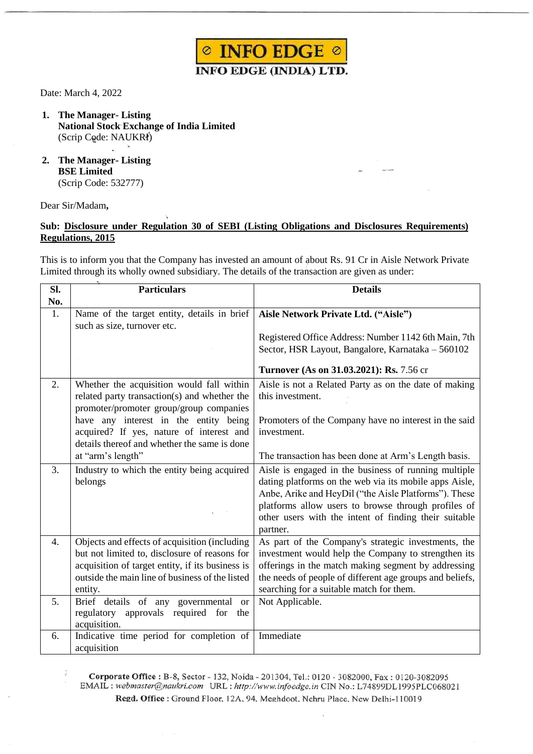

Date: March 4, 2022

- **1. The Manager- Listing National Stock Exchange of India Limited** (Scrip Code: NAUKRI)
- **2. The Manager- Listing BSE Limited** (Scrip Code: 532777)

## Dear Sir/Madam**,**

J.

## **Sub: Disclosure under Regulation 30 of SEBI (Listing Obligations and Disclosures Requirements) Regulations, 2015**

This is to inform you that the Company has invested an amount of about Rs. 91 Cr in Aisle Network Private Limited through its wholly owned subsidiary. The details of the transaction are given as under:

| SI.<br>No. | <b>Particulars</b>                                                                                                                                                                                               | <b>Details</b>                                                                                                                                                                                                                                                                                      |  |  |
|------------|------------------------------------------------------------------------------------------------------------------------------------------------------------------------------------------------------------------|-----------------------------------------------------------------------------------------------------------------------------------------------------------------------------------------------------------------------------------------------------------------------------------------------------|--|--|
| 1.         | Name of the target entity, details in brief<br>such as size, turnover etc.                                                                                                                                       | Aisle Network Private Ltd. ("Aisle")                                                                                                                                                                                                                                                                |  |  |
|            |                                                                                                                                                                                                                  | Registered Office Address: Number 1142 6th Main, 7th<br>Sector, HSR Layout, Bangalore, Karnataka - 560102                                                                                                                                                                                           |  |  |
|            |                                                                                                                                                                                                                  | Turnover (As on 31.03.2021): Rs. 7.56 cr                                                                                                                                                                                                                                                            |  |  |
| 2.         | Whether the acquisition would fall within<br>related party transaction(s) and whether the<br>promoter/promoter group/group companies                                                                             | Aisle is not a Related Party as on the date of making<br>this investment.                                                                                                                                                                                                                           |  |  |
|            | have any interest in the entity being<br>acquired? If yes, nature of interest and<br>details thereof and whether the same is done                                                                                | Promoters of the Company have no interest in the said<br>investment.                                                                                                                                                                                                                                |  |  |
|            | at "arm's length"                                                                                                                                                                                                | The transaction has been done at Arm's Length basis.                                                                                                                                                                                                                                                |  |  |
| 3.         | Industry to which the entity being acquired<br>belongs                                                                                                                                                           | Aisle is engaged in the business of running multiple<br>dating platforms on the web via its mobile apps Aisle,<br>Anbe, Arike and HeyDil ("the Aisle Platforms"). These<br>platforms allow users to browse through profiles of<br>other users with the intent of finding their suitable<br>partner. |  |  |
| 4.         | Objects and effects of acquisition (including<br>but not limited to, disclosure of reasons for<br>acquisition of target entity, if its business is<br>outside the main line of business of the listed<br>entity. | As part of the Company's strategic investments, the<br>investment would help the Company to strengthen its<br>offerings in the match making segment by addressing<br>the needs of people of different age groups and beliefs,<br>searching for a suitable match for them.                           |  |  |
| 5.         | Brief details of any governmental or<br>approvals required for<br>regulatory<br>the<br>acquisition.                                                                                                              | Not Applicable.                                                                                                                                                                                                                                                                                     |  |  |
| 6.         | Indicative time period for completion of<br>acquisition                                                                                                                                                          | Immediate                                                                                                                                                                                                                                                                                           |  |  |

Corporate Office: B-8, Sector - 132, Noida - 201304, Tel.: 0120 - 3082000, Fax: 0120-3082095 EMAIL : webmaster@naukri.com URL : http://www.infoedge.in CIN No.: L74899DL1995PLC068021 Regd. Office: Ground Floor, 12A, 94, Meghdoot, Nehru Place, New Delhi-110019